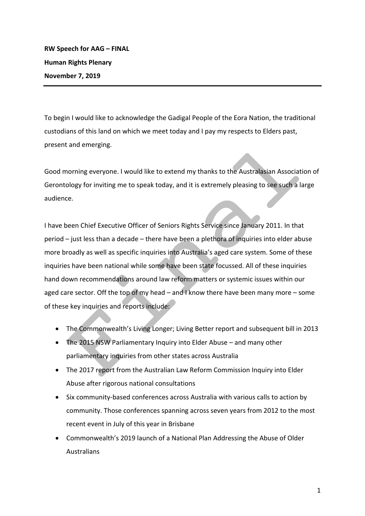To begin I would like to acknowledge the Gadigal People of the Eora Nation, the traditional custodians of this land on which we meet today and I pay my respects to Elders past, present and emerging.

Good morning everyone. I would like to extend my thanks to the Australasian Association of Gerontology for inviting me to speak today, and it is extremely pleasing to see such a large audience. 

I have been Chief Executive Officer of Seniors Rights Service since January 2011. In that period  $-$  just less than a decade  $-$  there have been a plethora of inquiries into elder abuse more broadly as well as specific inquiries into Australia's aged care system. Some of these inquiries have been national while some have been state focussed. All of these inquiries hand down recommendations around law reform matters or systemic issues within our aged care sector. Off the top of my head  $-$  and I know there have been many more  $-$  some of these key inquiries and reports include:

- The Commonwealth's Living Longer; Living Better report and subsequent bill in 2013
- The 2015 NSW Parliamentary Inquiry into Elder Abuse and many other parliamentary inquiries from other states across Australia
- The 2017 report from the Australian Law Reform Commission Inquiry into Elder Abuse after rigorous national consultations
- Six community-based conferences across Australia with various calls to action by community. Those conferences spanning across seven years from 2012 to the most recent event in July of this year in Brisbane
- Commonwealth's 2019 launch of a National Plan Addressing the Abuse of Older Australians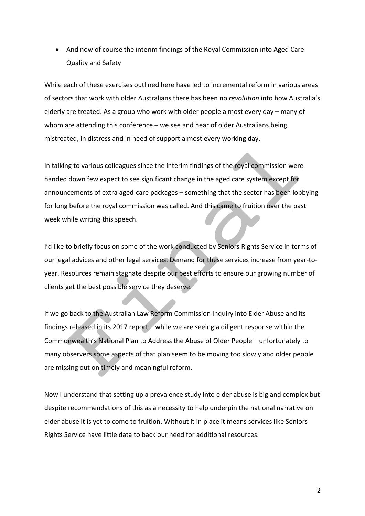• And now of course the interim findings of the Royal Commission into Aged Care Quality and Safety

While each of these exercises outlined here have led to incremental reform in various areas of sectors that work with older Australians there has been no *revolution* into how Australia's elderly are treated. As a group who work with older people almost every day – many of whom are attending this conference – we see and hear of older Australians being mistreated, in distress and in need of support almost every working day.

In talking to various colleagues since the interim findings of the royal commission were handed down few expect to see significant change in the aged care system except for announcements of extra aged-care packages – something that the sector has been lobbying for long before the royal commission was called. And this came to fruition over the past week while writing this speech.

I'd like to briefly focus on some of the work conducted by Seniors Rights Service in terms of our legal advices and other legal services. Demand for these services increase from year-toyear. Resources remain stagnate despite our best efforts to ensure our growing number of clients get the best possible service they deserve.

If we go back to the Australian Law Reform Commission Inquiry into Elder Abuse and its findings released in its 2017 report – while we are seeing a diligent response within the Commonwealth's National Plan to Address the Abuse of Older People – unfortunately to many observers some aspects of that plan seem to be moving too slowly and older people are missing out on timely and meaningful reform.

Now I understand that setting up a prevalence study into elder abuse is big and complex but despite recommendations of this as a necessity to help underpin the national narrative on elder abuse it is yet to come to fruition. Without it in place it means services like Seniors Rights Service have little data to back our need for additional resources.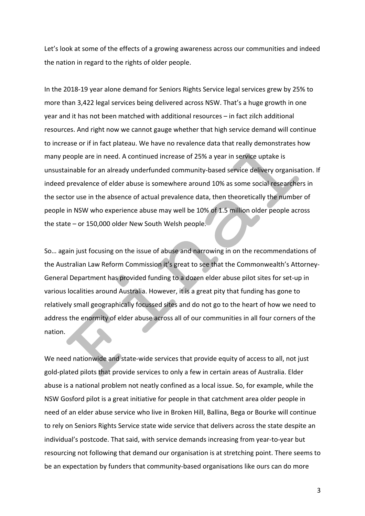Let's look at some of the effects of a growing awareness across our communities and indeed the nation in regard to the rights of older people.

In the 2018-19 year alone demand for Seniors Rights Service legal services grew by 25% to more than 3,422 legal services being delivered across NSW. That's a huge growth in one year and it has not been matched with additional resources – in fact zilch additional resources. And right now we cannot gauge whether that high service demand will continue to increase or if in fact plateau. We have no revalence data that really demonstrates how many people are in need. A continued increase of 25% a year in service uptake is unsustainable for an already underfunded community-based service delivery organisation. If indeed prevalence of elder abuse is somewhere around 10% as some social researchers in the sector use in the absence of actual prevalence data, then theoretically the number of people in NSW who experience abuse may well be 10% of 1.5 million older people across the state  $-$  or 150,000 older New South Welsh people.

So... again just focusing on the issue of abuse and narrowing in on the recommendations of the Australian Law Reform Commission it's great to see that the Commonwealth's Attorney-General Department has provided funding to a dozen elder abuse pilot sites for set-up in various localities around Australia. However, it is a great pity that funding has gone to relatively small geographically focussed sites and do not go to the heart of how we need to address the enormity of elder abuse across all of our communities in all four corners of the nation.

We need nationwide and state-wide services that provide equity of access to all, not just gold-plated pilots that provide services to only a few in certain areas of Australia. Elder abuse is a national problem not neatly confined as a local issue. So, for example, while the NSW Gosford pilot is a great initiative for people in that catchment area older people in need of an elder abuse service who live in Broken Hill, Ballina, Bega or Bourke will continue to rely on Seniors Rights Service state wide service that delivers across the state despite an individual's postcode. That said, with service demands increasing from year-to-year but resourcing not following that demand our organisation is at stretching point. There seems to be an expectation by funders that community-based organisations like ours can do more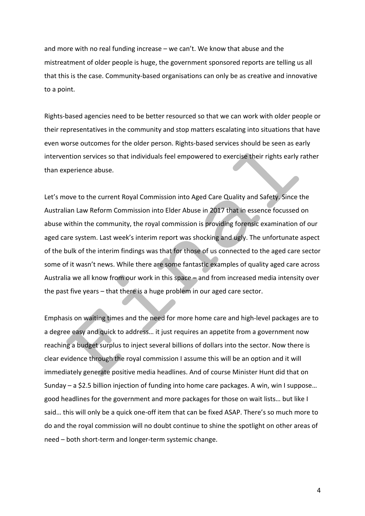and more with no real funding increase  $-$  we can't. We know that abuse and the mistreatment of older people is huge, the government sponsored reports are telling us all that this is the case. Community-based organisations can only be as creative and innovative to a point.

Rights-based agencies need to be better resourced so that we can work with older people or their representatives in the community and stop matters escalating into situations that have even worse outcomes for the older person. Rights-based services should be seen as early intervention services so that individuals feel empowered to exercise their rights early rather than experience abuse.

Let's move to the current Royal Commission into Aged Care Quality and Safety. Since the Australian Law Reform Commission into Elder Abuse in 2017 that in essence focussed on abuse within the community, the royal commission is providing forensic examination of our aged care system. Last week's interim report was shocking and ugly. The unfortunate aspect of the bulk of the interim findings was that for those of us connected to the aged care sector some of it wasn't news. While there are some fantastic examples of quality aged care across Australia we all know from our work in this space  $-$  and from increased media intensity over the past five years  $-$  that there is a huge problem in our aged care sector.

Emphasis on waiting times and the need for more home care and high-level packages are to a degree easy and quick to address... it just requires an appetite from a government now reaching a budget surplus to inject several billions of dollars into the sector. Now there is clear evidence through the royal commission I assume this will be an option and it will immediately generate positive media headlines. And of course Minister Hunt did that on Sunday – a \$2.5 billion injection of funding into home care packages. A win, win I suppose... good headlines for the government and more packages for those on wait lists... but like I said... this will only be a quick one-off item that can be fixed ASAP. There's so much more to do and the royal commission will no doubt continue to shine the spotlight on other areas of need – both short-term and longer-term systemic change.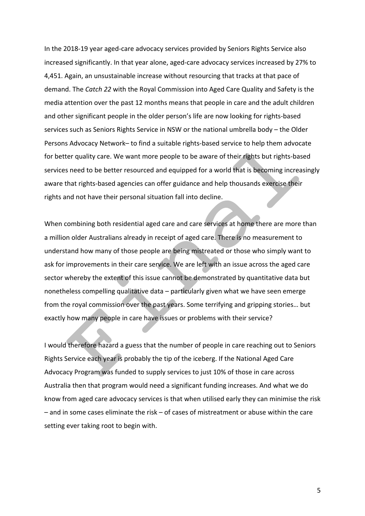In the 2018-19 year aged-care advocacy services provided by Seniors Rights Service also increased significantly. In that year alone, aged-care advocacy services increased by 27% to 4,451. Again, an unsustainable increase without resourcing that tracks at that pace of demand. The *Catch 22* with the Royal Commission into Aged Care Quality and Safety is the media attention over the past 12 months means that people in care and the adult children and other significant people in the older person's life are now looking for rights-based services such as Seniors Rights Service in NSW or the national umbrella body - the Older Persons Advocacy Network– to find a suitable rights-based service to help them advocate for better quality care. We want more people to be aware of their rights but rights-based services need to be better resourced and equipped for a world that is becoming increasingly aware that rights-based agencies can offer guidance and help thousands exercise their rights and not have their personal situation fall into decline.

When combining both residential aged care and care services at home there are more than a million older Australians already in receipt of aged care. There is no measurement to understand how many of those people are being mistreated or those who simply want to ask for improvements in their care service. We are left with an issue across the aged care sector whereby the extent of this issue cannot be demonstrated by quantitative data but nonetheless compelling qualitative data – particularly given what we have seen emerge from the royal commission over the past years. Some terrifying and gripping stories... but exactly how many people in care have issues or problems with their service?

I would therefore hazard a guess that the number of people in care reaching out to Seniors Rights Service each year is probably the tip of the iceberg. If the National Aged Care Advocacy Program was funded to supply services to just 10% of those in care across Australia then that program would need a significant funding increases. And what we do know from aged care advocacy services is that when utilised early they can minimise the risk  $-$  and in some cases eliminate the risk  $-$  of cases of mistreatment or abuse within the care setting ever taking root to begin with.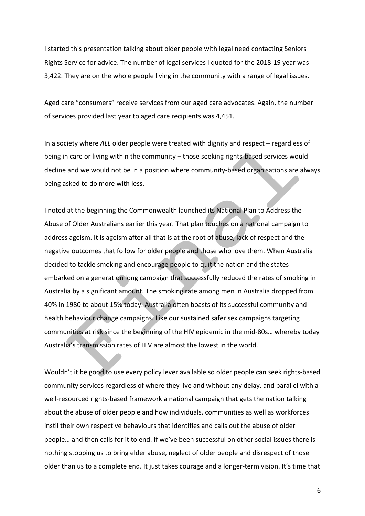I started this presentation talking about older people with legal need contacting Seniors Rights Service for advice. The number of legal services I quoted for the 2018-19 year was 3,422. They are on the whole people living in the community with a range of legal issues.

Aged care "consumers" receive services from our aged care advocates. Again, the number of services provided last year to aged care recipients was 4,451.

In a society where *ALL* older people were treated with dignity and respect – regardless of being in care or living within the community – those seeking rights-based services would decline and we would not be in a position where community-based organisations are always being asked to do more with less.

I noted at the beginning the Commonwealth launched its National Plan to Address the Abuse of Older Australians earlier this year. That plan touches on a national campaign to address ageism. It is ageism after all that is at the root of abuse, lack of respect and the negative outcomes that follow for older people and those who love them. When Australia decided to tackle smoking and encourage people to quit the nation and the states embarked on a generation long campaign that successfully reduced the rates of smoking in Australia by a significant amount. The smoking rate among men in Australia dropped from 40% in 1980 to about 15% today. Australia often boasts of its successful community and health behaviour change campaigns. Like our sustained safer sex campaigns targeting communities at risk since the beginning of the HIV epidemic in the mid-80s... whereby today Australia's transmission rates of HIV are almost the lowest in the world.

Wouldn't it be good to use every policy lever available so older people can seek rights-based community services regardless of where they live and without any delay, and parallel with a well-resourced rights-based framework a national campaign that gets the nation talking about the abuse of older people and how individuals, communities as well as workforces instil their own respective behaviours that identifies and calls out the abuse of older people... and then calls for it to end. If we've been successful on other social issues there is nothing stopping us to bring elder abuse, neglect of older people and disrespect of those older than us to a complete end. It just takes courage and a longer-term vision. It's time that